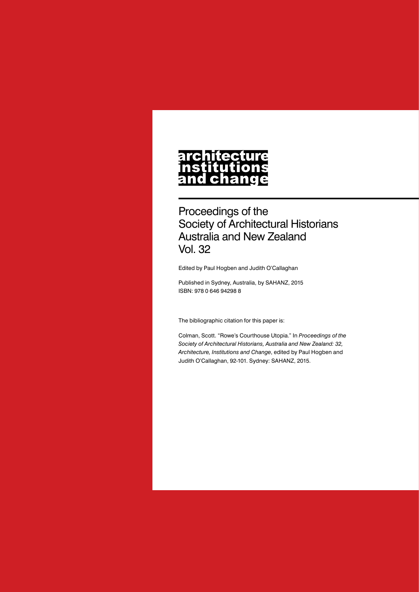#### **architecture** nstitutions **Ch** nd a

Proceedings of the Society of Architectural Historians Australia and New Zealand Vol. 32

Edited by Paul Hogben and Judith O'Callaghan

Published in Sydney, Australia, by SAHANZ, 2015 ISBN: 978 0 646 94298 8

The bibliographic citation for this paper is:

Colman, Scott. "Rowe's Courthouse Utopia." In *Proceedings of the Society of Architectural Historians, Australia and New Zealand: 32, Architecture, Institutions and Change*, edited by Paul Hogben and Judith O'Callaghan, 92-101. Sydney: SAHANZ, 2015.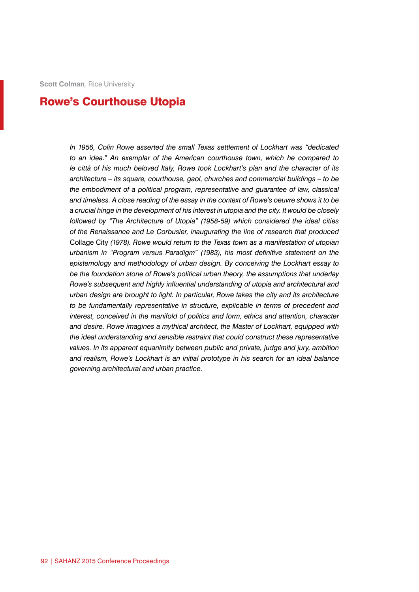**Scott Colman***,* Rice University

# Rowe's Courthouse Utopia

*In 1956, Colin Rowe asserted the small Texas settlement of Lockhart was "dedicated to an idea." An exemplar of the American courthouse town, which he compared to le città of his much beloved Italy, Rowe took Lockhart's plan and the character of its architecture – its square, courthouse, gaol, churches and commercial buildings – to be the embodiment of a political program, representative and guarantee of law, classical and timeless. A close reading of the essay in the context of Rowe's oeuvre shows it to be a crucial hinge in the development of his interest in utopia and the city. It would be closely followed by "The Architecture of Utopia" (1958-59) which considered the ideal cities of the Renaissance and Le Corbusier, inaugurating the line of research that produced*  Collage City *(1978). Rowe would return to the Texas town as a manifestation of utopian urbanism in "Program versus Paradigm" (1983), his most definitive statement on the epistemology and methodology of urban design. By conceiving the Lockhart essay to be the foundation stone of Rowe's political urban theory, the assumptions that underlay Rowe's subsequent and highly influential understanding of utopia and architectural and urban design are brought to light. In particular, Rowe takes the city and its architecture to be fundamentally representative in structure, explicable in terms of precedent and interest, conceived in the manifold of politics and form, ethics and attention, character and desire. Rowe imagines a mythical architect, the Master of Lockhart, equipped with the ideal understanding and sensible restraint that could construct these representative values. In its apparent equanimity between public and private, judge and jury, ambition and realism, Rowe's Lockhart is an initial prototype in his search for an ideal balance governing architectural and urban practice.*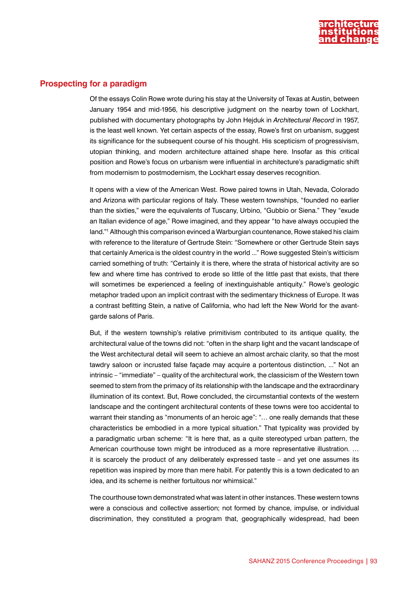

## **Prospecting for a paradigm**

Of the essays Colin Rowe wrote during his stay at the University of Texas at Austin, between January 1954 and mid-1956, his descriptive judgment on the nearby town of Lockhart, published with documentary photographs by John Hejduk in *Architectural Record* in 1957, is the least well known. Yet certain aspects of the essay, Rowe's first on urbanism, suggest its significance for the subsequent course of his thought. His scepticism of progressivism, utopian thinking, and modern architecture attained shape here. Insofar as this critical position and Rowe's focus on urbanism were influential in architecture's paradigmatic shift from modernism to postmodernism, the Lockhart essay deserves recognition.

It opens with a view of the American West. Rowe paired towns in Utah, Nevada, Colorado and Arizona with particular regions of Italy. These western townships, "founded no earlier than the sixties," were the equivalents of Tuscany, Urbino, "Gubbio or Siena." They "exude an Italian evidence of age," Rowe imagined, and they appear "to have always occupied the land."1 Although this comparison evinced a Warburgian countenance, Rowe staked his claim with reference to the literature of Gertrude Stein: "Somewhere or other Gertrude Stein says that certainly America is the oldest country in the world ..." Rowe suggested Stein's witticism carried something of truth: "Certainly it is there, where the strata of historical activity are so few and where time has contrived to erode so little of the little past that exists, that there will sometimes be experienced a feeling of inextinguishable antiquity." Rowe's geologic metaphor traded upon an implicit contrast with the sedimentary thickness of Europe. It was a contrast befitting Stein, a native of California, who had left the New World for the avantgarde salons of Paris.

But, if the western township's relative primitivism contributed to its antique quality, the architectural value of the towns did not: "often in the sharp light and the vacant landscape of the West architectural detail will seem to achieve an almost archaic clarity, so that the most tawdry saloon or incrusted false façade may acquire a portentous distinction, ..." Not an intrinsic – "immediate" – quality of the architectural work, the classicism of the Western town seemed to stem from the primacy of its relationship with the landscape and the extraordinary illumination of its context. But, Rowe concluded, the circumstantial contexts of the western landscape and the contingent architectural contents of these towns were too accidental to warrant their standing as "monuments of an heroic age": "… one really demands that these characteristics be embodied in a more typical situation." That typicality was provided by a paradigmatic urban scheme: "It is here that, as a quite stereotyped urban pattern, the American courthouse town might be introduced as a more representative illustration. … it is scarcely the product of any deliberately expressed taste – and yet one assumes its repetition was inspired by more than mere habit. For patently this is a town dedicated to an idea, and its scheme is neither fortuitous nor whimsical."

The courthouse town demonstrated what was latent in other instances. These western towns were a conscious and collective assertion; not formed by chance, impulse, or individual discrimination, they constituted a program that, geographically widespread, had been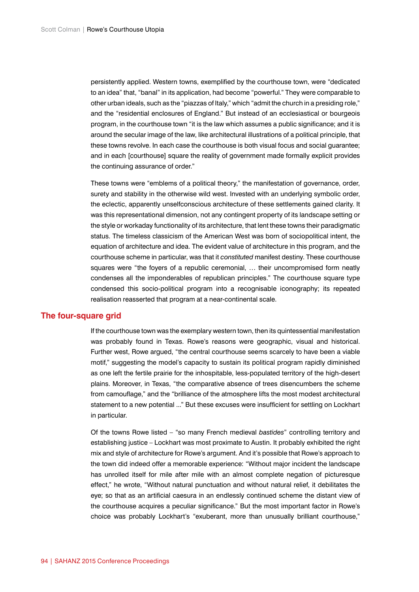persistently applied. Western towns, exemplified by the courthouse town, were "dedicated to an idea" that, "banal" in its application, had become "powerful." They were comparable to other urban ideals, such as the "piazzas of Italy," which "admit the church in a presiding role," and the "residential enclosures of England." But instead of an ecclesiastical or bourgeois program, in the courthouse town "it is the law which assumes a public significance; and it is around the secular image of the law, like architectural illustrations of a political principle, that these towns revolve. In each case the courthouse is both visual focus and social guarantee; and in each [courthouse] square the reality of government made formally explicit provides the continuing assurance of order."

These towns were "emblems of a political theory," the manifestation of governance, order, surety and stability in the otherwise wild west. Invested with an underlying symbolic order, the eclectic, apparently unselfconscious architecture of these settlements gained clarity. It was this representational dimension, not any contingent property of its landscape setting or the style or workaday functionality of its architecture, that lent these towns their paradigmatic status. The timeless classicism of the American West was born of sociopolitical intent, the equation of architecture and idea. The evident value of architecture in this program, and the courthouse scheme in particular, was that it *constituted* manifest destiny. These courthouse squares were "the foyers of a republic ceremonial, … their uncompromised form neatly condenses all the imponderables of republican principles." The courthouse square type condensed this socio-political program into a recognisable iconography; its repeated realisation reasserted that program at a near-continental scale.

### **The four-square grid**

If the courthouse town was the exemplary western town, then its quintessential manifestation was probably found in Texas. Rowe's reasons were geographic, visual and historical. Further west, Rowe argued, "the central courthouse seems scarcely to have been a viable motif," suggesting the model's capacity to sustain its political program rapidly diminished as one left the fertile prairie for the inhospitable, less-populated territory of the high-desert plains. Moreover, in Texas, "the comparative absence of trees disencumbers the scheme from camouflage," and the "brilliance of the atmosphere lifts the most modest architectural statement to a new potential ..." But these excuses were insufficient for settling on Lockhart in particular.

Of the towns Rowe listed – "so many French medieval *bastides*" controlling territory and establishing justice – Lockhart was most proximate to Austin. It probably exhibited the right mix and style of architecture for Rowe's argument. And it's possible that Rowe's approach to the town did indeed offer a memorable experience: "Without major incident the landscape has unrolled itself for mile after mile with an almost complete negation of picturesque effect," he wrote, "Without natural punctuation and without natural relief, it debilitates the eye; so that as an artificial caesura in an endlessly continued scheme the distant view of the courthouse acquires a peculiar significance." But the most important factor in Rowe's choice was probably Lockhart's "exuberant, more than unusually brilliant courthouse,"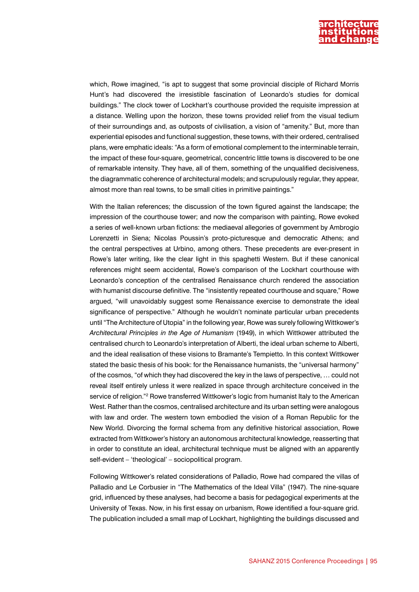

which, Rowe imagined, "is apt to suggest that some provincial disciple of Richard Morris Hunt's had discovered the irresistible fascination of Leonardo's studies for domical buildings." The clock tower of Lockhart's courthouse provided the requisite impression at a distance. Welling upon the horizon, these towns provided relief from the visual tedium of their surroundings and, as outposts of civilisation, a vision of "amenity." But, more than experiential episodes and functional suggestion, these towns, with their ordered, centralised plans, were emphatic ideals: "As a form of emotional complement to the interminable terrain, the impact of these four-square, geometrical, concentric little towns is discovered to be one of remarkable intensity. They have, all of them, something of the unqualified decisiveness, the diagrammatic coherence of architectural models; and scrupulously regular, they appear, almost more than real towns, to be small cities in primitive paintings."

With the Italian references; the discussion of the town figured against the landscape; the impression of the courthouse tower; and now the comparison with painting, Rowe evoked a series of well-known urban fictions: the mediaeval allegories of government by Ambrogio Lorenzetti in Siena; Nicolas Poussin's proto-picturesque and democratic Athens; and the central perspectives at Urbino, among others. These precedents are ever-present in Rowe's later writing, like the clear light in this spaghetti Western. But if these canonical references might seem accidental, Rowe's comparison of the Lockhart courthouse with Leonardo's conception of the centralised Renaissance church rendered the association with humanist discourse definitive. The "insistently repeated courthouse and square," Rowe argued, "will unavoidably suggest some Renaissance exercise to demonstrate the ideal significance of perspective." Although he wouldn't nominate particular urban precedents until "The Architecture of Utopia" in the following year, Rowe was surely following Wittkower's *Architectural Principles in the Age of Humanism* (1949), in which Wittkower attributed the centralised church to Leonardo's interpretation of Alberti, the ideal urban scheme to Alberti, and the ideal realisation of these visions to Bramante's Tempietto. In this context Wittkower stated the basic thesis of his book: for the Renaissance humanists, the "universal harmony" of the cosmos, "of which they had discovered the key in the laws of perspective, … could not reveal itself entirely unless it were realized in space through architecture conceived in the service of religion."<sup>2</sup> Rowe transferred Wittkower's logic from humanist Italy to the American West. Rather than the cosmos, centralised architecture and its urban setting were analogous with law and order. The western town embodied the vision of a Roman Republic for the New World. Divorcing the formal schema from any definitive historical association, Rowe extracted from Wittkower's history an autonomous architectural knowledge, reasserting that in order to constitute an ideal, architectural technique must be aligned with an apparently self-evident – 'theological' – sociopolitical program.

Following Wittkower's related considerations of Palladio, Rowe had compared the villas of Palladio and Le Corbusier in "The Mathematics of the Ideal Villa" (1947). The nine-square grid, influenced by these analyses, had become a basis for pedagogical experiments at the University of Texas. Now, in his first essay on urbanism, Rowe identified a four-square grid. The publication included a small map of Lockhart, highlighting the buildings discussed and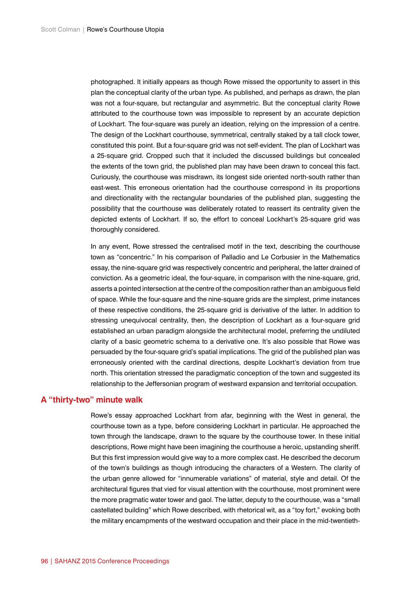photographed. It initially appears as though Rowe missed the opportunity to assert in this plan the conceptual clarity of the urban type. As published, and perhaps as drawn, the plan was not a four-square, but rectangular and asymmetric. But the conceptual clarity Rowe attributed to the courthouse town was impossible to represent by an accurate depiction of Lockhart. The four-square was purely an ideation, relying on the impression of a centre. The design of the Lockhart courthouse, symmetrical, centrally staked by a tall clock tower, constituted this point. But a four-square grid was not self-evident. The plan of Lockhart was a 25-square grid. Cropped such that it included the discussed buildings but concealed the extents of the town grid, the published plan may have been drawn to conceal this fact. Curiously, the courthouse was misdrawn, its longest side oriented north-south rather than east-west. This erroneous orientation had the courthouse correspond in its proportions and directionality with the rectangular boundaries of the published plan, suggesting the possibility that the courthouse was deliberately rotated to reassert its centrality given the depicted extents of Lockhart. If so, the effort to conceal Lockhart's 25-square grid was thoroughly considered.

In any event, Rowe stressed the centralised motif in the text, describing the courthouse town as "concentric." In his comparison of Palladio and Le Corbusier in the Mathematics essay, the nine-square grid was respectively concentric and peripheral, the latter drained of conviction. As a geometric ideal, the four-square, in comparison with the nine-square, grid, asserts a pointed intersection at the centre of the composition rather than an ambiguous field of space. While the four-square and the nine-square grids are the simplest, prime instances of these respective conditions, the 25-square grid is derivative of the latter. In addition to stressing unequivocal centrality, then, the description of Lockhart as a four-square grid established an urban paradigm alongside the architectural model, preferring the undiluted clarity of a basic geometric schema to a derivative one. It's also possible that Rowe was persuaded by the four-square grid's spatial implications. The grid of the published plan was erroneously oriented with the cardinal directions, despite Lockhart's deviation from true north. This orientation stressed the paradigmatic conception of the town and suggested its relationship to the Jeffersonian program of westward expansion and territorial occupation.

## **A "thirty-two" minute walk**

Rowe's essay approached Lockhart from afar, beginning with the West in general, the courthouse town as a type, before considering Lockhart in particular. He approached the town through the landscape, drawn to the square by the courthouse tower. In these initial descriptions, Rowe might have been imagining the courthouse a heroic, upstanding sheriff. But this first impression would give way to a more complex cast. He described the decorum of the town's buildings as though introducing the characters of a Western. The clarity of the urban genre allowed for "innumerable variations" of material, style and detail. Of the architectural figures that vied for visual attention with the courthouse, most prominent were the more pragmatic water tower and gaol. The latter, deputy to the courthouse, was a "small castellated building" which Rowe described, with rhetorical wit, as a "toy fort," evoking both the military encampments of the westward occupation and their place in the mid-twentieth-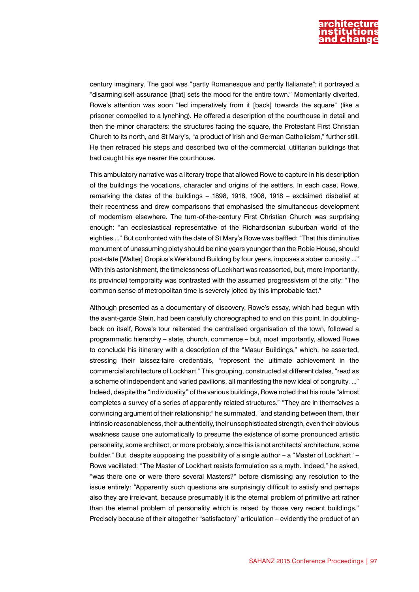

century imaginary. The gaol was "partly Romanesque and partly Italianate"; it portrayed a "disarming self-assurance [that] sets the mood for the entire town." Momentarily diverted, Rowe's attention was soon "led imperatively from it [back] towards the square" (like a prisoner compelled to a lynching). He offered a description of the courthouse in detail and then the minor characters: the structures facing the square, the Protestant First Christian Church to its north, and St Mary's, "a product of Irish and German Catholicism," further still. He then retraced his steps and described two of the commercial, utilitarian buildings that had caught his eye nearer the courthouse.

This ambulatory narrative was a literary trope that allowed Rowe to capture in his description of the buildings the vocations, character and origins of the settlers. In each case, Rowe, remarking the dates of the buildings – 1898, 1918, 1908, 1918 – exclaimed disbelief at their recentness and drew comparisons that emphasised the simultaneous development of modernism elsewhere. The turn-of-the-century First Christian Church was surprising enough: "an ecclesiastical representative of the Richardsonian suburban world of the eighties ..." But confronted with the date of St Mary's Rowe was baffled: "That this diminutive monument of unassuming piety should be nine years younger than the Robie House, should post-date [Walter] Gropius's Werkbund Building by four years, imposes a sober curiosity ..." With this astonishment, the timelessness of Lockhart was reasserted, but, more importantly, its provincial temporality was contrasted with the assumed progressivism of the city: "The common sense of metropolitan time is severely jolted by this improbable fact."

Although presented as a documentary of discovery, Rowe's essay, which had begun with the avant-garde Stein, had been carefully choreographed to end on this point. In doublingback on itself, Rowe's tour reiterated the centralised organisation of the town, followed a programmatic hierarchy – state, church, commerce – but, most importantly, allowed Rowe to conclude his itinerary with a description of the "Masur Buildings," which, he asserted, stressing their laissez-faire credentials, "represent the ultimate achievement in the commercial architecture of Lockhart." This grouping, constructed at different dates, "read as a scheme of independent and varied pavilions, all manifesting the new ideal of congruity, ..." Indeed, despite the "individuality" of the various buildings, Rowe noted that his route "almost completes a survey of a series of apparently related structures." "They are in themselves a convincing argument of their relationship;" he summated, "and standing between them, their intrinsic reasonableness, their authenticity, their unsophisticated strength, even their obvious weakness cause one automatically to presume the existence of some pronounced artistic personality, some architect, or more probably, since this is not architects' architecture, some builder." But, despite supposing the possibility of a single author – a "Master of Lockhart" – Rowe vacillated: "The Master of Lockhart resists formulation as a myth. Indeed," he asked, "was there one or were there several Masters?" before dismissing any resolution to the issue entirely: "Apparently such questions are surprisingly difficult to satisfy and perhaps also they are irrelevant, because presumably it is the eternal problem of primitive art rather than the eternal problem of personality which is raised by those very recent buildings." Precisely because of their altogether "satisfactory" articulation – evidently the product of an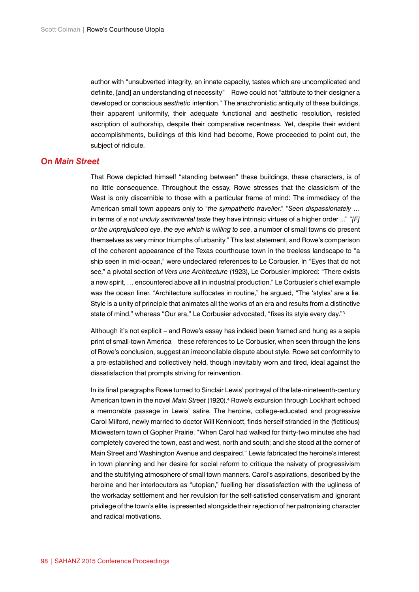author with "unsubverted integrity, an innate capacity, tastes which are uncomplicated and definite, [and] an understanding of necessity" – Rowe could not "attribute to their designer a developed or conscious *aesthetic* intention." The anachronistic antiquity of these buildings, their apparent uniformity, their adequate functional and aesthetic resolution, resisted ascription of authorship, despite their comparative recentness. Yet, despite their evident accomplishments, buildings of this kind had become, Rowe proceeded to point out, the subject of ridicule.

## **On** *Main Street*

That Rowe depicted himself "standing between" these buildings, these characters, is of no little consequence. Throughout the essay, Rowe stresses that the classicism of the West is only discernible to those with a particular frame of mind: The immediacy of the American small town appears only to "*the sympathetic traveller*." "*Seen dispassionately* … in terms of *a not unduly sentimental taste* they have intrinsic virtues of a higher order ..." "*[F] or the unprejudiced eye*, *the eye which is willing to see*, a number of small towns do present themselves as very minor triumphs of urbanity." This last statement, and Rowe's comparison of the coherent appearance of the Texas courthouse town in the treeless landscape to "a ship seen in mid-ocean," were undeclared references to Le Corbusier. In "Eyes that do not see," a pivotal section of *Vers une Architecture* (1923), Le Corbusier implored: "There exists a new spirit, … encountered above all in industrial production." Le Corbusier's chief example was the ocean liner. "Architecture suffocates in routine," he argued, "The 'styles' are a lie. Style is a unity of principle that animates all the works of an era and results from a distinctive state of mind," whereas "Our era," Le Corbusier advocated, "fixes its style every day."3

Although it's not explicit – and Rowe's essay has indeed been framed and hung as a sepia print of small-town America – these references to Le Corbusier, when seen through the lens of Rowe's conclusion, suggest an irreconcilable dispute about style. Rowe set conformity to a pre-established and collectively held, though inevitably worn and tired, ideal against the dissatisfaction that prompts striving for reinvention.

In its final paragraphs Rowe turned to Sinclair Lewis' portrayal of the late-nineteenth-century American town in the novel *Main Street* (1920).<sup>4</sup> Rowe's excursion through Lockhart echoed a memorable passage in Lewis' satire. The heroine, college-educated and progressive Carol Milford, newly married to doctor Will Kennicott, finds herself stranded in the (fictitious) Midwestern town of Gopher Prairie. "When Carol had walked for thirty-two minutes she had completely covered the town, east and west, north and south; and she stood at the corner of Main Street and Washington Avenue and despaired." Lewis fabricated the heroine's interest in town planning and her desire for social reform to critique the naivety of progressivism and the stultifying atmosphere of small town manners. Carol's aspirations, described by the heroine and her interlocutors as "utopian," fuelling her dissatisfaction with the ugliness of the workaday settlement and her revulsion for the self-satisfied conservatism and ignorant privilege of the town's elite, is presented alongside their rejection of her patronising character and radical motivations.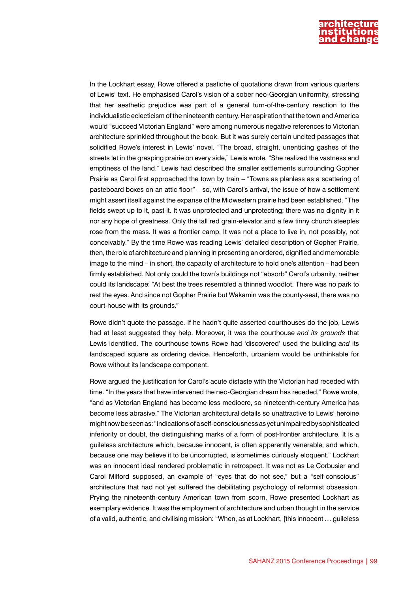

In the Lockhart essay, Rowe offered a pastiche of quotations drawn from various quarters of Lewis' text. He emphasised Carol's vision of a sober neo-Georgian uniformity, stressing that her aesthetic prejudice was part of a general turn-of-the-century reaction to the individualistic eclecticism of the nineteenth century. Her aspiration that the town and America would "succeed Victorian England" were among numerous negative references to Victorian architecture sprinkled throughout the book. But it was surely certain uncited passages that solidified Rowe's interest in Lewis' novel. "The broad, straight, unenticing gashes of the streets let in the grasping prairie on every side," Lewis wrote, "She realized the vastness and emptiness of the land." Lewis had described the smaller settlements surrounding Gopher Prairie as Carol first approached the town by train – "Towns as planless as a scattering of pasteboard boxes on an attic floor" – so, with Carol's arrival, the issue of how a settlement might assert itself against the expanse of the Midwestern prairie had been established. "The fields swept up to it, past it. It was unprotected and unprotecting; there was no dignity in it nor any hope of greatness. Only the tall red grain-elevator and a few tinny church steeples rose from the mass. It was a frontier camp. It was not a place to live in, not possibly, not conceivably." By the time Rowe was reading Lewis' detailed description of Gopher Prairie, then, the role of architecture and planning in presenting an ordered, dignified and memorable image to the mind – in short, the capacity of architecture to hold one's attention – had been firmly established. Not only could the town's buildings not "absorb" Carol's urbanity, neither could its landscape: "At best the trees resembled a thinned woodlot. There was no park to rest the eyes. And since not Gopher Prairie but Wakamin was the county-seat, there was no court-house with its grounds."

Rowe didn't quote the passage. If he hadn't quite asserted courthouses do the job, Lewis had at least suggested they help. Moreover, it was the courthouse *and its grounds* that Lewis identified. The courthouse towns Rowe had 'discovered' used the building *and* its landscaped square as ordering device. Henceforth, urbanism would be unthinkable for Rowe without its landscape component.

Rowe argued the justification for Carol's acute distaste with the Victorian had receded with time. "In the years that have intervened the neo-Georgian dream has receded," Rowe wrote, "and as Victorian England has become less mediocre, so nineteenth-century America has become less abrasive." The Victorian architectural details so unattractive to Lewis' heroine might now be seen as: "indications of a self-consciousness as yet unimpaired by sophisticated inferiority or doubt, the distinguishing marks of a form of post-frontier architecture. It is a guileless architecture which, because innocent, is often apparently venerable; and which, because one may believe it to be uncorrupted, is sometimes curiously eloquent." Lockhart was an innocent ideal rendered problematic in retrospect. It was not as Le Corbusier and Carol Milford supposed, an example of "eyes that do not see," but a "self-conscious" architecture that had not yet suffered the debilitating psychology of reformist obsession. Prying the nineteenth-century American town from scorn, Rowe presented Lockhart as exemplary evidence. It was the employment of architecture and urban thought in the service of a valid, authentic, and civilising mission: "When, as at Lockhart, [this innocent … guileless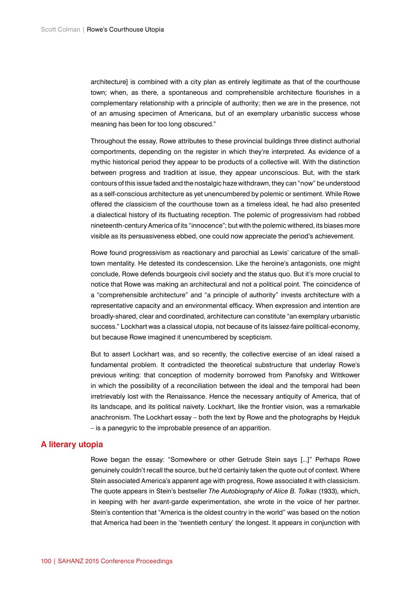architecture] is combined with a city plan as entirely legitimate as that of the courthouse town; when, as there, a spontaneous and comprehensible architecture flourishes in a complementary relationship with a principle of authority; then we are in the presence, not of an amusing specimen of Americana, but of an exemplary urbanistic success whose meaning has been for too long obscured."

Throughout the essay, Rowe attributes to these provincial buildings three distinct authorial comportments, depending on the register in which they're interpreted. As evidence of a mythic historical period they appear to be products of a collective will. With the distinction between progress and tradition at issue, they appear unconscious. But, with the stark contours of this issue faded and the nostalgic haze withdrawn, they can "now" be understood as a self-conscious architecture as yet unencumbered by polemic or sentiment. While Rowe offered the classicism of the courthouse town as a timeless ideal, he had also presented a dialectical history of its fluctuating reception. The polemic of progressivism had robbed nineteenth-century America of its "innocence"; but with the polemic withered, its biases more visible as its persuasiveness ebbed, one could now appreciate the period's achievement.

Rowe found progressivism as reactionary and parochial as Lewis' caricature of the smalltown mentality. He detested its condescension. Like the heroine's antagonists, one might conclude, Rowe defends bourgeois civil society and the status quo. But it's more crucial to notice that Rowe was making an architectural and not a political point. The coincidence of a "comprehensible architecture" and "a principle of authority" invests architecture with a representative capacity and an environmental efficacy. When expression and intention are broadly-shared, clear and coordinated, architecture can constitute "an exemplary urbanistic success." Lockhart was a classical utopia, not because of its laissez-faire political-economy, but because Rowe imagined it unencumbered by scepticism.

But to assert Lockhart was, and so recently, the collective exercise of an ideal raised a fundamental problem. It contradicted the theoretical substructure that underlay Rowe's previous writing: that conception of modernity borrowed from Panofsky and Wittkower in which the possibility of a reconciliation between the ideal and the temporal had been irretrievably lost with the Renaissance. Hence the necessary antiquity of America, that of its landscape, and its political naivety. Lockhart, like the frontier vision, was a remarkable anachronism. The Lockhart essay – both the text by Rowe and the photographs by Hejduk – is a panegyric to the improbable presence of an apparition.

## **A literary utopia**

Rowe began the essay: "Somewhere or other Getrude Stein says [...]" Perhaps Rowe genuinely couldn't recall the source, but he'd certainly taken the quote out of context. Where Stein associated America's apparent age with progress, Rowe associated it with classicism. The quote appears in Stein's bestseller *The Autobiography of Alice B. Tolkas* (1933), which, in keeping with her avant-garde experimentation, she wrote in the voice of her partner. Stein's contention that "America is the oldest country in the world" was based on the notion that America had been in the 'twentieth century' the longest. It appears in conjunction with